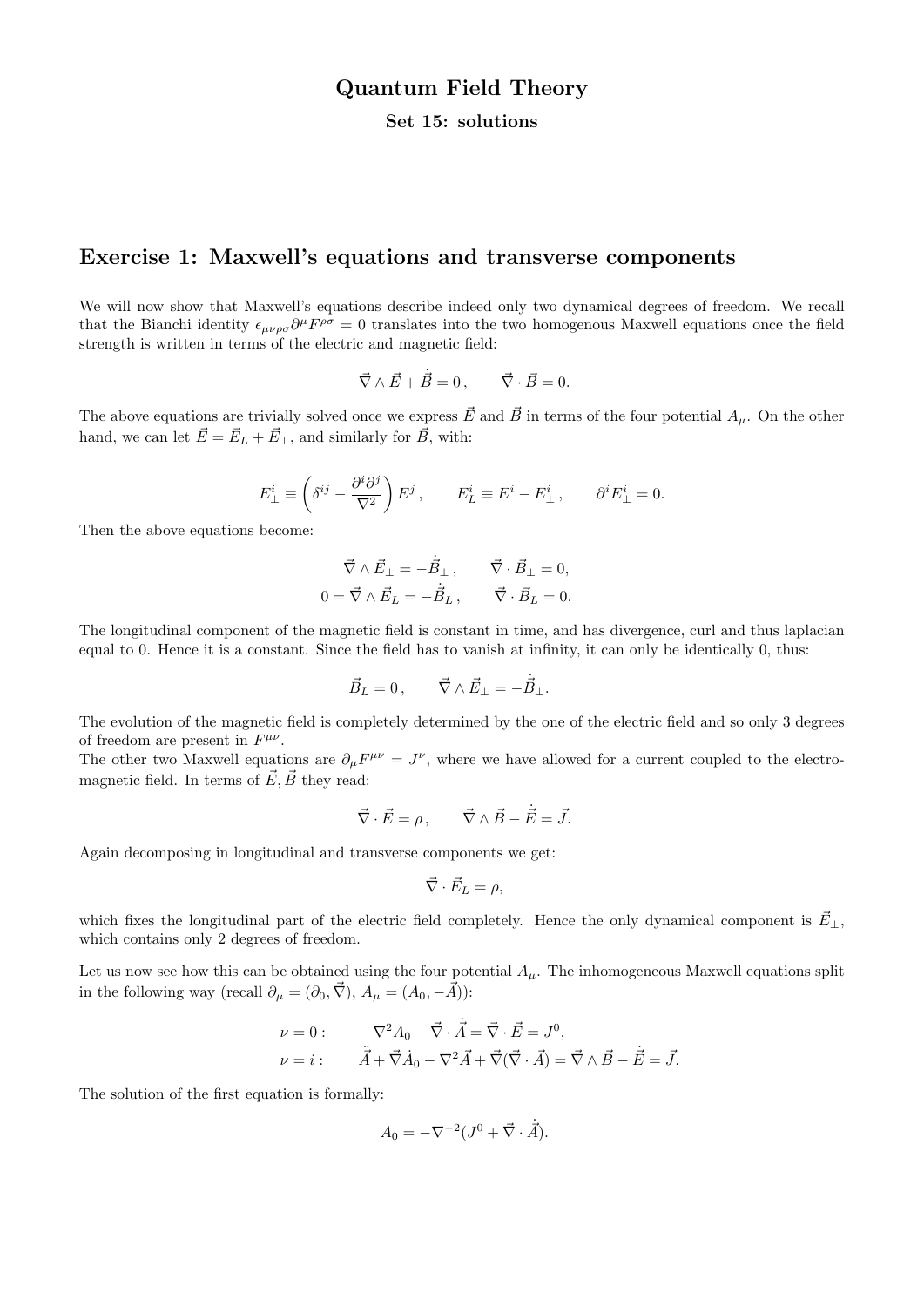# Quantum Field Theory

#### Set 15: solutions

## Exercise 1: Maxwell's equations and transverse components

We will now show that Maxwell's equations describe indeed only two dynamical degrees of freedom. We recall that the Bianchi identity  $\epsilon_{\mu\nu\rho\sigma}\partial^{\mu}F^{\rho\sigma}=0$  translates into the two homogenous Maxwell equations once the field strength is written in terms of the electric and magnetic field:

$$
\vec{\nabla} \wedge \vec{E} + \dot{\vec{B}} = 0, \qquad \vec{\nabla} \cdot \vec{B} = 0.
$$

The above equations are trivially solved once we express  $\vec{E}$  and  $\vec{B}$  in terms of the four potential  $A_{\mu}$ . On the other hand, we can let  $\vec{E} = \vec{E}_L + \vec{E}_{\perp}$ , and similarly for  $\vec{B}$ , with:

$$
E_{\perp}^{i} \equiv \left(\delta^{ij} - \frac{\partial^{i} \partial^{j}}{\nabla^{2}}\right) E^{j} , \qquad E_{L}^{i} \equiv E^{i} - E_{\perp}^{i} , \qquad \partial^{i} E_{\perp}^{i} = 0.
$$

Then the above equations become:

$$
\vec{\nabla} \wedge \vec{E}_{\perp} = -\dot{\vec{B}}_{\perp} , \qquad \vec{\nabla} \cdot \vec{B}_{\perp} = 0 ,
$$
  

$$
0 = \vec{\nabla} \wedge \vec{E}_{L} = -\dot{\vec{B}}_{L} , \qquad \vec{\nabla} \cdot \vec{B}_{L} = 0 .
$$

The longitudinal component of the magnetic field is constant in time, and has divergence, curl and thus laplacian equal to 0. Hence it is a constant. Since the field has to vanish at infinity, it can only be identically 0, thus:

$$
\vec{B}_L = 0, \qquad \vec{\nabla} \wedge \vec{E}_{\perp} = -\dot{\vec{B}}_{\perp}.
$$

The evolution of the magnetic field is completely determined by the one of the electric field and so only 3 degrees of freedom are present in  $F^{\mu\nu}$ .

The other two Maxwell equations are  $\partial_{\mu}F^{\mu\nu} = J^{\nu}$ , where we have allowed for a current coupled to the electromagnetic field. In terms of  $\vec{E}, \vec{B}$  they read:

$$
\vec{\nabla} \cdot \vec{E} = \rho, \qquad \vec{\nabla} \wedge \vec{B} - \dot{\vec{E}} = \vec{J}.
$$

Again decomposing in longitudinal and transverse components we get:

$$
\vec{\nabla} \cdot \vec{E}_L = \rho,
$$

which fixes the longitudinal part of the electric field completely. Hence the only dynamical component is  $\vec{E}_{\perp}$ , which contains only 2 degrees of freedom.

Let us now see how this can be obtained using the four potential  $A_\mu$ . The inhomogeneous Maxwell equations split in the following way (recall  $\partial_{\mu} = (\partial_0, \vec{\nabla}), A_{\mu} = (A_0, -\vec{A})$ ):

$$
\nu = 0: \qquad -\nabla^2 A_0 - \vec{\nabla} \cdot \dot{\vec{A}} = \vec{\nabla} \cdot \vec{E} = J^0,
$$
  

$$
\nu = i: \qquad \ddot{\vec{A}} + \vec{\nabla} \dot{A}_0 - \nabla^2 \vec{A} + \vec{\nabla} (\vec{\nabla} \cdot \vec{A}) = \vec{\nabla} \wedge \vec{B} - \dot{\vec{E}} = \vec{J}.
$$

The solution of the first equation is formally:

$$
A_0 = -\nabla^{-2} (J^0 + \vec{\nabla} \cdot \dot{\vec{A}}).
$$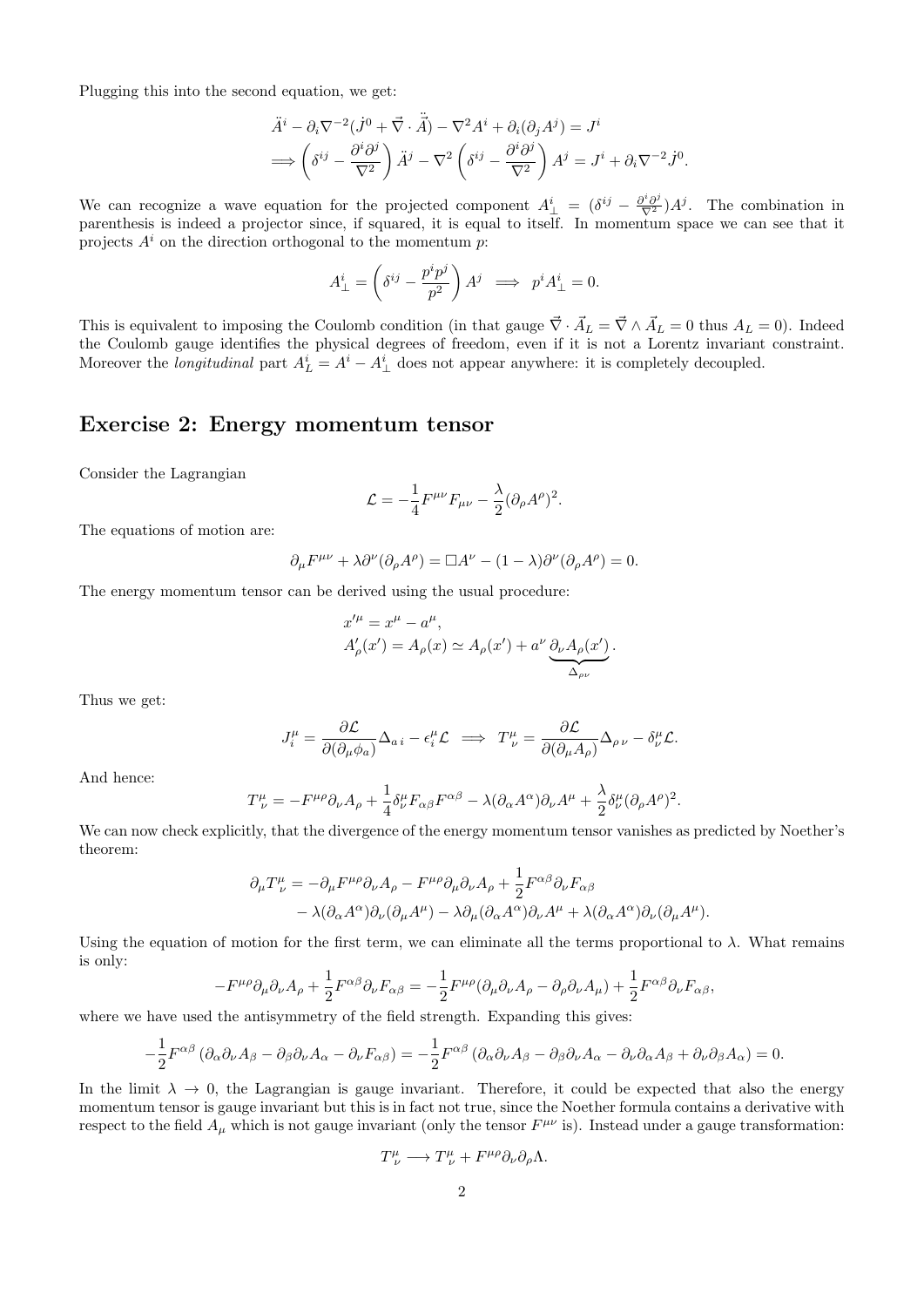Plugging this into the second equation, we get:

$$
\ddot{A}^i - \partial_i \nabla^{-2} (\dot{J}^0 + \vec{\nabla} \cdot \ddot{\vec{A}}) - \nabla^2 A^i + \partial_i (\partial_j A^j) = J^i
$$
  
\n
$$
\implies \left( \delta^{ij} - \frac{\partial^i \partial^j}{\nabla^2} \right) \ddot{A}^j - \nabla^2 \left( \delta^{ij} - \frac{\partial^i \partial^j}{\nabla^2} \right) A^j = J^i + \partial_i \nabla^{-2} \dot{J}^0.
$$

We can recognize a wave equation for the projected component  $A^i_{\perp} = (\delta^{ij} - \frac{\partial^i \partial^j}{\nabla^2})A^j$ . The combination in parenthesis is indeed a projector since, if squared, it is equal to itself. In momentum space we can see that it projects  $A^i$  on the direction orthogonal to the momentum p:

$$
A^i_\perp = \left(\delta^{ij} - \frac{p^i p^j}{p^2}\right) A^j \implies p^i A^i_\perp = 0.
$$

This is equivalent to imposing the Coulomb condition (in that gauge  $\vec{\nabla} \cdot \vec{A}_L = \vec{\nabla} \wedge \vec{A}_L = 0$  thus  $A_L = 0$ ). Indeed the Coulomb gauge identifies the physical degrees of freedom, even if it is not a Lorentz invariant constraint. Moreover the *longitudinal* part  $A_L^i = A^i - A_\perp^i$  does not appear anywhere: it is completely decoupled.

## Exercise 2: Energy momentum tensor

Consider the Lagrangian

$$
\mathcal{L}=-\frac{1}{4}F^{\mu\nu}F_{\mu\nu}-\frac{\lambda}{2}(\partial_{\rho}A^{\rho})^2.
$$

The equations of motion are:

$$
\partial_{\mu}F^{\mu\nu} + \lambda \partial^{\nu}(\partial_{\rho}A^{\rho}) = \Box A^{\nu} - (1 - \lambda)\partial^{\nu}(\partial_{\rho}A^{\rho}) = 0.
$$

The energy momentum tensor can be derived using the usual procedure:

$$
x'^{\mu} = x^{\mu} - a^{\mu},
$$
  
\n
$$
A'_{\rho}(x') = A_{\rho}(x) \simeq A_{\rho}(x') + a^{\nu} \underbrace{\partial_{\nu} A_{\rho}(x')}_{\Delta_{\rho\nu}}.
$$

Thus we get:

$$
J_i^{\mu} = \frac{\partial \mathcal{L}}{\partial(\partial_{\mu}\phi_a)}\Delta_{a i} - \epsilon_i^{\mu}\mathcal{L} \implies T_{\nu}^{\mu} = \frac{\partial \mathcal{L}}{\partial(\partial_{\mu}A_{\rho})}\Delta_{\rho\nu} - \delta_{\nu}^{\mu}\mathcal{L}.
$$

.

And hence:

$$
T^{\mu}_{\ \nu} = -F^{\mu\rho}\partial_{\nu}A_{\rho} + \frac{1}{4}\delta^{\mu}_{\nu}F_{\alpha\beta}F^{\alpha\beta} - \lambda(\partial_{\alpha}A^{\alpha})\partial_{\nu}A^{\mu} + \frac{\lambda}{2}\delta^{\mu}_{\nu}(\partial_{\rho}A^{\rho})^2
$$

We can now check explicitly, that the divergence of the energy momentum tensor vanishes as predicted by Noether's theorem:

$$
\partial_{\mu}T^{\mu}_{\ \nu} = -\partial_{\mu}F^{\mu\rho}\partial_{\nu}A_{\rho} - F^{\mu\rho}\partial_{\mu}\partial_{\nu}A_{\rho} + \frac{1}{2}F^{\alpha\beta}\partial_{\nu}F_{\alpha\beta} \n- \lambda(\partial_{\alpha}A^{\alpha})\partial_{\nu}(\partial_{\mu}A^{\mu}) - \lambda\partial_{\mu}(\partial_{\alpha}A^{\alpha})\partial_{\nu}A^{\mu} + \lambda(\partial_{\alpha}A^{\alpha})\partial_{\nu}(\partial_{\mu}A^{\mu}).
$$

Using the equation of motion for the first term, we can eliminate all the terms proportional to  $\lambda$ . What remains is only:

$$
-F^{\mu\rho}\partial_{\mu}\partial_{\nu}A_{\rho} + \frac{1}{2}F^{\alpha\beta}\partial_{\nu}F_{\alpha\beta} = -\frac{1}{2}F^{\mu\rho}(\partial_{\mu}\partial_{\nu}A_{\rho} - \partial_{\rho}\partial_{\nu}A_{\mu}) + \frac{1}{2}F^{\alpha\beta}\partial_{\nu}F_{\alpha\beta},
$$

where we have used the antisymmetry of the field strength. Expanding this gives:

$$
-\frac{1}{2}F^{\alpha\beta}(\partial_{\alpha}\partial_{\nu}A_{\beta}-\partial_{\beta}\partial_{\nu}A_{\alpha}-\partial_{\nu}F_{\alpha\beta})=-\frac{1}{2}F^{\alpha\beta}(\partial_{\alpha}\partial_{\nu}A_{\beta}-\partial_{\beta}\partial_{\nu}A_{\alpha}-\partial_{\nu}\partial_{\alpha}A_{\beta}+\partial_{\nu}\partial_{\beta}A_{\alpha})=0.
$$

In the limit  $\lambda \to 0$ , the Lagrangian is gauge invariant. Therefore, it could be expected that also the energy momentum tensor is gauge invariant but this is in fact not true, since the Noether formula contains a derivative with respect to the field  $A_\mu$  which is not gauge invariant (only the tensor  $F^{\mu\nu}$  is). Instead under a gauge transformation:

$$
T^{\mu}_{\ \nu} \longrightarrow T^{\mu}_{\ \nu} + F^{\mu \rho} \partial_{\nu} \partial_{\rho} \Lambda.
$$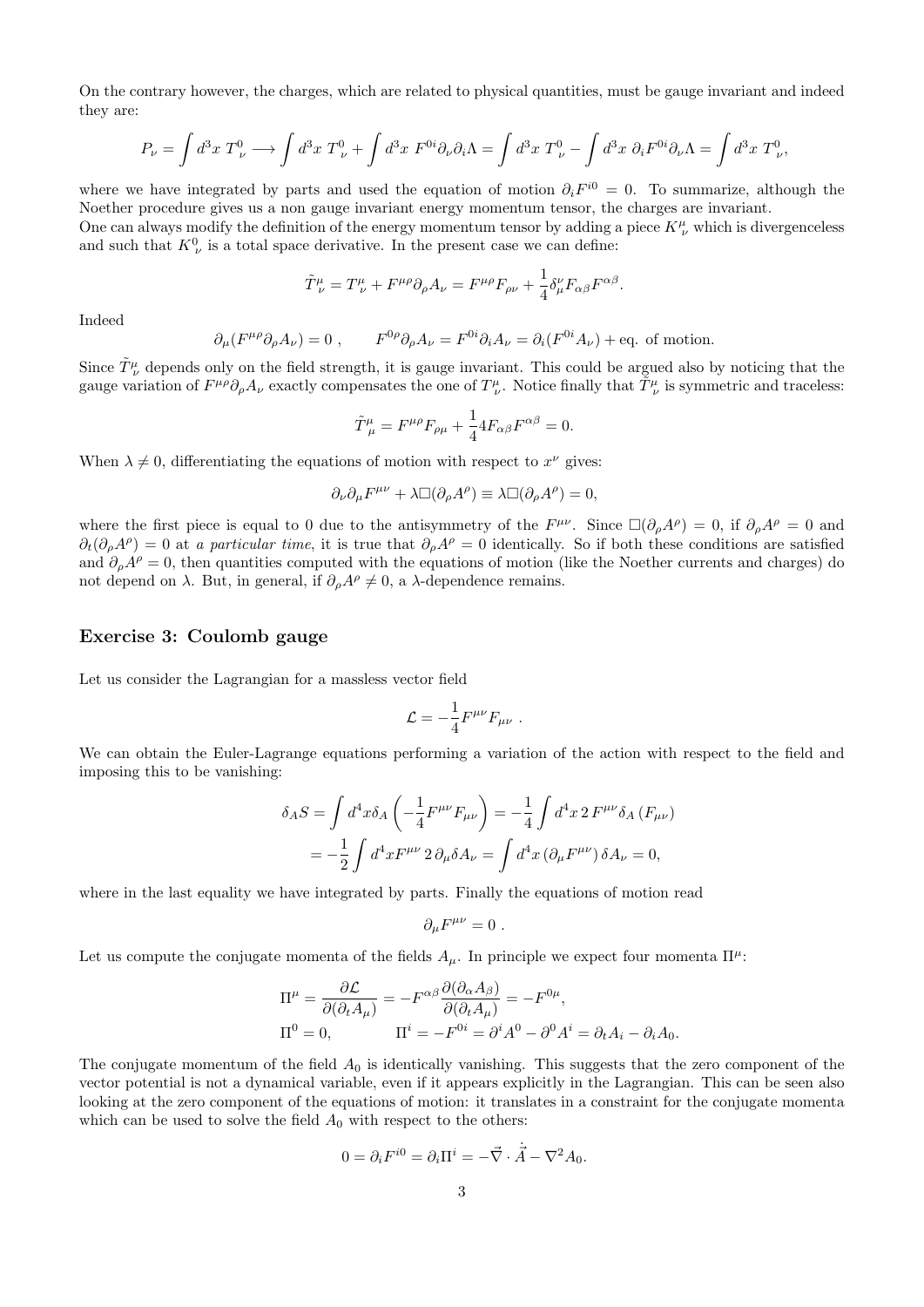On the contrary however, the charges, which are related to physical quantities, must be gauge invariant and indeed they are:

$$
P_{\nu} = \int d^3x \ T_{\nu}^0 \longrightarrow \int d^3x \ T_{\nu}^0 + \int d^3x \ F^{0i} \partial_{\nu} \partial_i \Lambda = \int d^3x \ T_{\nu}^0 - \int d^3x \ \partial_i F^{0i} \partial_{\nu} \Lambda = \int d^3x \ T_{\nu}^0,
$$

where we have integrated by parts and used the equation of motion  $\partial_i F^{i0} = 0$ . To summarize, although the Noether procedure gives us a non gauge invariant energy momentum tensor, the charges are invariant. One can always modify the definition of the energy momentum tensor by adding a piece  $K^{\mu}_{\ \nu}$  which is divergenceless and such that  $K^0_{\nu}$  is a total space derivative. In the present case we can define:

$$
\tilde{T}^{\mu}_{\ \nu}=T^{\mu}_{\ \nu}+F^{\mu\rho}\partial_{\rho}A_{\nu}=F^{\mu\rho}F_{\rho\nu}+\frac{1}{4}\delta^{\nu}_{\mu}F_{\alpha\beta}F^{\alpha\beta}.
$$

Indeed

$$
\partial_\mu (F^{\mu\rho} \partial_\rho A_\nu) = 0 \ , \qquad F^{0\rho} \partial_\rho A_\nu = F^{0i} \partial_i A_\nu = \partial_i (F^{0i} A_\nu) + \text{eq. of motion.}
$$

Since  $\tilde{T}^{\mu}_{\ \nu}$  depends only on the field strength, it is gauge invariant. This could be argued also by noticing that the gauge variation of  $F^{\mu\rho}\partial_{\rho}A_{\nu}$  exactly compensates the one of  $T^{\mu}_{\ \nu}$ . Notice finally that  $\tilde{T}^{\mu}_{\ \nu}$  is symmetric and traceless:

$$
\tilde{T}^{\mu}_{\ \mu} = F^{\mu \rho} F_{\rho \mu} + \frac{1}{4} 4 F_{\alpha \beta} F^{\alpha \beta} = 0.
$$

When  $\lambda \neq 0$ , differentiating the equations of motion with respect to  $x^{\nu}$  gives:

$$
\partial_{\nu}\partial_{\mu}F^{\mu\nu} + \lambda \Box(\partial_{\rho}A^{\rho}) \equiv \lambda \Box(\partial_{\rho}A^{\rho}) = 0,
$$

where the first piece is equal to 0 due to the antisymmetry of the  $F^{\mu\nu}$ . Since  $\Box(\partial_{\rho}A^{\rho})=0$ , if  $\partial_{\rho}A^{\rho}=0$  and  $\partial_t(\partial_\rho A^\rho) = 0$  at a particular time, it is true that  $\partial_\rho A^\rho = 0$  identically. So if both these conditions are satisfied and  $\partial_{\rho}A^{\rho}=0$ , then quantities computed with the equations of motion (like the Noether currents and charges) do not depend on  $\lambda$ . But, in general, if  $\partial_{\rho}A^{\rho} \neq 0$ , a λ-dependence remains.

## Exercise 3: Coulomb gauge

Let us consider the Lagrangian for a massless vector field

$$
\mathcal{L} = -\frac{1}{4} F^{\mu\nu} F_{\mu\nu} \ .
$$

We can obtain the Euler-Lagrange equations performing a variation of the action with respect to the field and imposing this to be vanishing:

$$
\delta_A S = \int d^4x \delta_A \left( -\frac{1}{4} F^{\mu\nu} F_{\mu\nu} \right) = -\frac{1}{4} \int d^4x 2 F^{\mu\nu} \delta_A (F_{\mu\nu})
$$
  
=  $-\frac{1}{2} \int d^4x F^{\mu\nu} 2 \partial_\mu \delta A_\nu = \int d^4x (\partial_\mu F^{\mu\nu}) \delta A_\nu = 0,$ 

where in the last equality we have integrated by parts. Finally the equations of motion read

$$
\partial_{\mu}F^{\mu\nu}=0.
$$

Let us compute the conjugate momenta of the fields  $A_\mu$ . In principle we expect four momenta  $\Pi^\mu$ :

$$
\Pi^{\mu} = \frac{\partial \mathcal{L}}{\partial(\partial_t A_{\mu})} = -F^{\alpha\beta} \frac{\partial(\partial_{\alpha} A_{\beta})}{\partial(\partial_t A_{\mu})} = -F^{0\mu},
$$
  
\n
$$
\Pi^0 = 0, \qquad \Pi^i = -F^{0i} = \partial^i A^0 - \partial^0 A^i = \partial_t A_i - \partial_i A_0.
$$

The conjugate momentum of the field  $A_0$  is identically vanishing. This suggests that the zero component of the vector potential is not a dynamical variable, even if it appears explicitly in the Lagrangian. This can be seen also looking at the zero component of the equations of motion: it translates in a constraint for the conjugate momenta which can be used to solve the field  $A_0$  with respect to the others:

$$
0 = \partial_i F^{i0} = \partial_i \Pi^i = -\vec{\nabla} \cdot \dot{\vec{A}} - \nabla^2 A_0.
$$